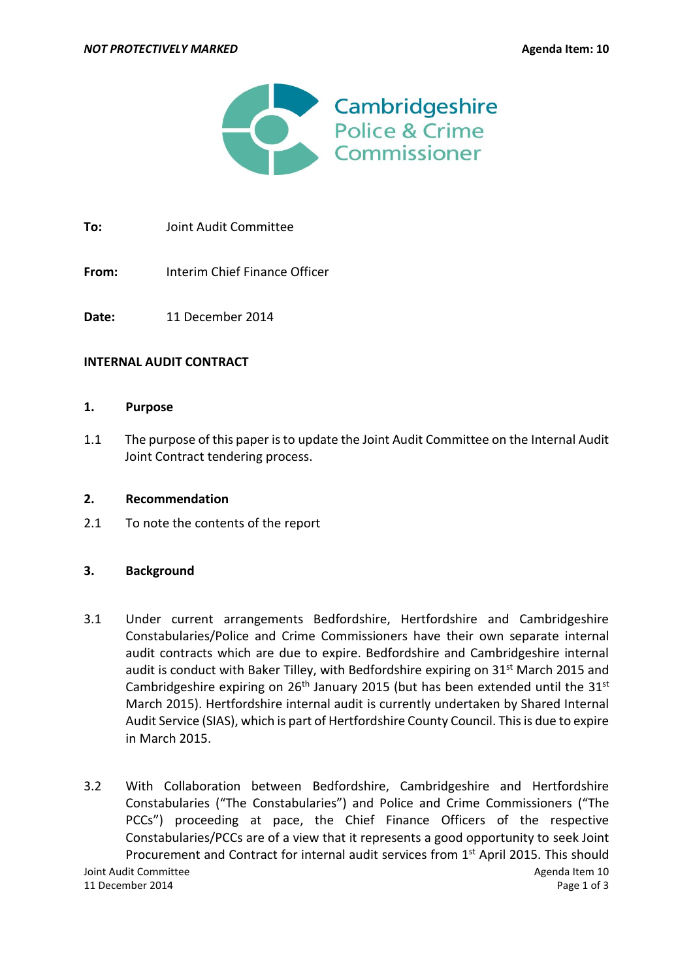

**To:** Joint Audit Committee

**From:** Interim Chief Finance Officer

**Date:** 11 December 2014

#### **INTERNAL AUDIT CONTRACT**

#### **1. Purpose**

1.1 The purpose of this paper is to update the Joint Audit Committee on the Internal Audit Joint Contract tendering process.

## **2. Recommendation**

2.1 To note the contents of the report

## **3. Background**

- 3.1 Under current arrangements Bedfordshire, Hertfordshire and Cambridgeshire Constabularies/Police and Crime Commissioners have their own separate internal audit contracts which are due to expire. Bedfordshire and Cambridgeshire internal audit is conduct with Baker Tilley, with Bedfordshire expiring on  $31<sup>st</sup>$  March 2015 and Cambridgeshire expiring on  $26<sup>th</sup>$  January 2015 (but has been extended until the 31<sup>st</sup> March 2015). Hertfordshire internal audit is currently undertaken by Shared Internal Audit Service (SIAS), which is part of Hertfordshire County Council. This is due to expire in March 2015.
- **Joint Audit Committee Agenda Item 10** 11 December 2014 Page 1 of 3 3.2 With Collaboration between Bedfordshire, Cambridgeshire and Hertfordshire Constabularies ("The Constabularies") and Police and Crime Commissioners ("The PCCs") proceeding at pace, the Chief Finance Officers of the respective Constabularies/PCCs are of a view that it represents a good opportunity to seek Joint Procurement and Contract for internal audit services from 1<sup>st</sup> April 2015. This should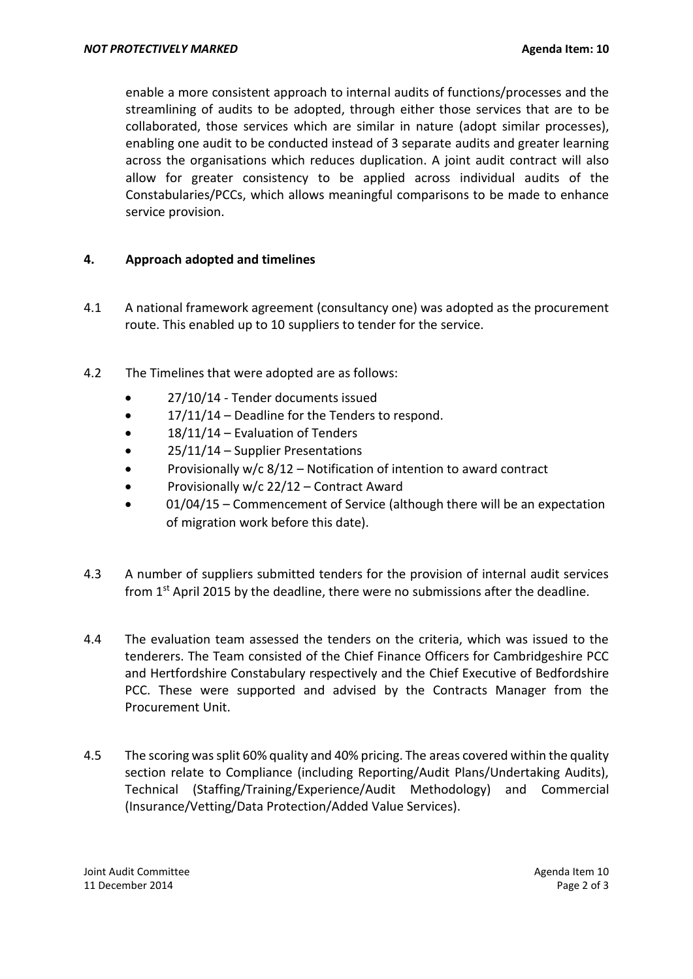enable a more consistent approach to internal audits of functions/processes and the streamlining of audits to be adopted, through either those services that are to be collaborated, those services which are similar in nature (adopt similar processes), enabling one audit to be conducted instead of 3 separate audits and greater learning across the organisations which reduces duplication. A joint audit contract will also allow for greater consistency to be applied across individual audits of the Constabularies/PCCs, which allows meaningful comparisons to be made to enhance service provision.

# **4. Approach adopted and timelines**

- 4.1 A national framework agreement (consultancy one) was adopted as the procurement route. This enabled up to 10 suppliers to tender for the service.
- 4.2 The Timelines that were adopted are as follows:
	- 27/10/14 Tender documents issued
	- 17/11/14 Deadline for the Tenders to respond.
	- 18/11/14 Evaluation of Tenders
	- $\bullet$  25/11/14 Supplier Presentations
	- Provisionally w/c 8/12 Notification of intention to award contract
	- Provisionally  $w/c$  22/12 Contract Award
	- 01/04/15 Commencement of Service (although there will be an expectation of migration work before this date).
- 4.3 A number of suppliers submitted tenders for the provision of internal audit services from 1st April 2015 by the deadline, there were no submissions after the deadline.
- 4.4 The evaluation team assessed the tenders on the criteria, which was issued to the tenderers. The Team consisted of the Chief Finance Officers for Cambridgeshire PCC and Hertfordshire Constabulary respectively and the Chief Executive of Bedfordshire PCC. These were supported and advised by the Contracts Manager from the Procurement Unit.
- 4.5 The scoring was split 60% quality and 40% pricing. The areas covered within the quality section relate to Compliance (including Reporting/Audit Plans/Undertaking Audits), Technical (Staffing/Training/Experience/Audit Methodology) and Commercial (Insurance/Vetting/Data Protection/Added Value Services).